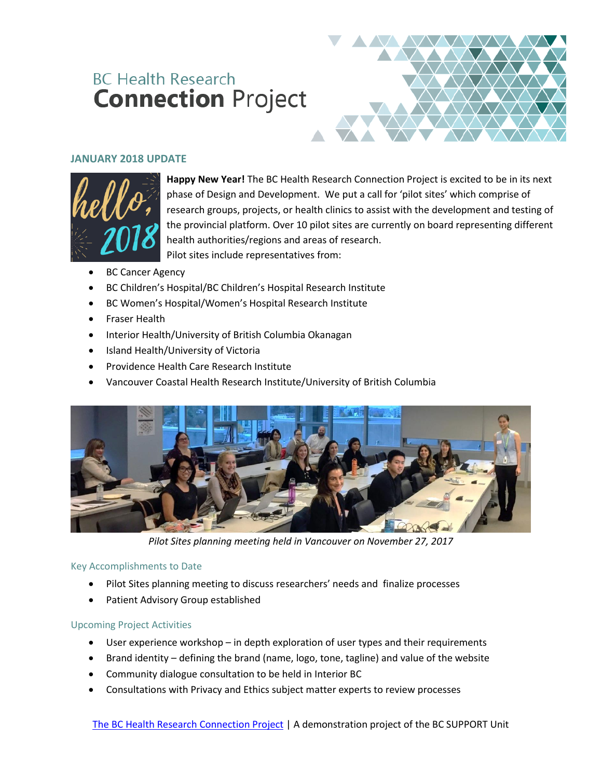# **BC Health Research Connection Project**



# **JANUARY 2018 UPDATE**



**Happy New Year!** The BC Health Research Connection Project is excited to be in its next phase of Design and Development. We put a call for 'pilot sites' which comprise of research groups, projects, or health clinics to assist with the development and testing of the provincial platform. Over 10 pilot sites are currently on board representing different health authorities/regions and areas of research. Pilot sites include representatives from:

- BC Cancer Agency
- BC Children's Hospital/BC Children's Hospital Research Institute
- BC Women's Hospital/Women's Hospital Research Institute
- Fraser Health
- Interior Health/University of British Columbia Okanagan
- Island Health/University of Victoria
- Providence Health Care Research Institute
- Vancouver Coastal Health Research Institute/University of British Columbia



*Pilot Sites planning meeting held in Vancouver on November 27, 2017*

## Key Accomplishments to Date

- Pilot Sites planning meeting to discuss researchers' needs and finalize processes
- Patient Advisory Group established

# Upcoming Project Activities

- User experience workshop in depth exploration of user types and their requirements
- Brand identity defining the brand (name, logo, tone, tagline) and value of the website
- Community dialogue consultation to be held in Interior BC
- Consultations with Privacy and Ethics subject matter experts to review processes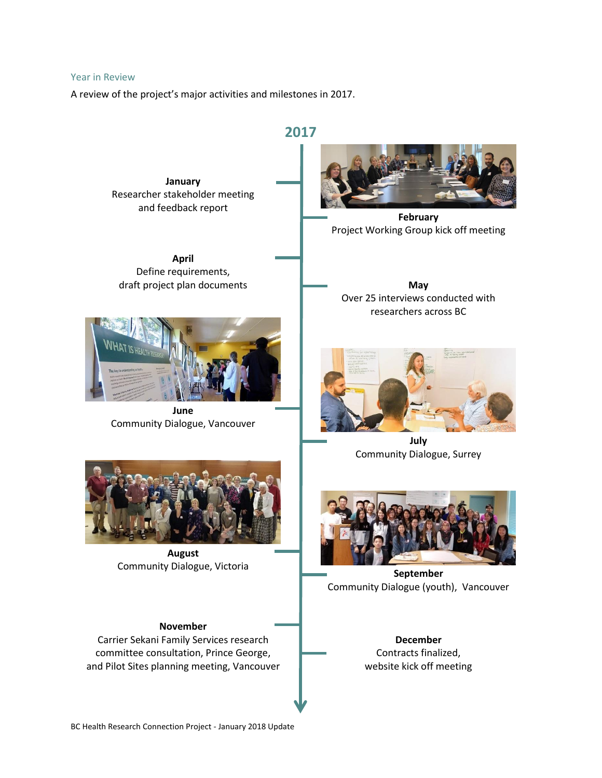#### Year in Review

A review of the project's major activities and milestones in 2017.

**2017**

**January** Researcher stakeholder meeting and feedback report

**April** Define requirements, draft project plan documents **May** 



**June** Community Dialogue, Vancouver



**February** Project Working Group kick off meeting

Over 25 interviews conducted with researchers across BC



**July** Community Dialogue, Surrey



**August** Community Dialogue, Victoria **Community Dialogue, Victoria** 



Community Dialogue (youth), Vancouver

**November** Carrier Sekani Family Services research committee consultation, Prince George, and Pilot Sites planning meeting, Vancouver

**December** Contracts finalized, website kick off meeting